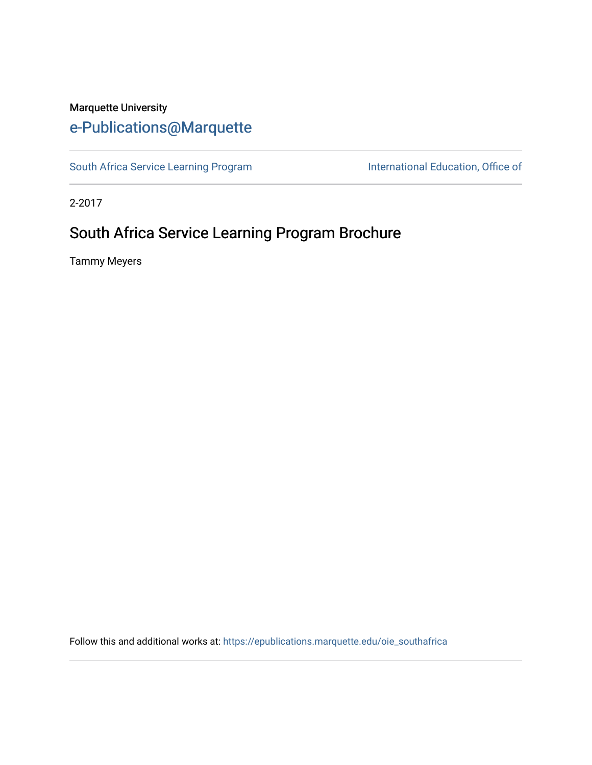## Marquette University [e-Publications@Marquette](https://epublications.marquette.edu/)

[South Africa Service Learning Program](https://epublications.marquette.edu/oie_southafrica) International Education, Office of

2-2017

# South Africa Service Learning Program Brochure

Tammy Meyers

Follow this and additional works at: [https://epublications.marquette.edu/oie\\_southafrica](https://epublications.marquette.edu/oie_southafrica?utm_source=epublications.marquette.edu%2Foie_southafrica%2F1&utm_medium=PDF&utm_campaign=PDFCoverPages)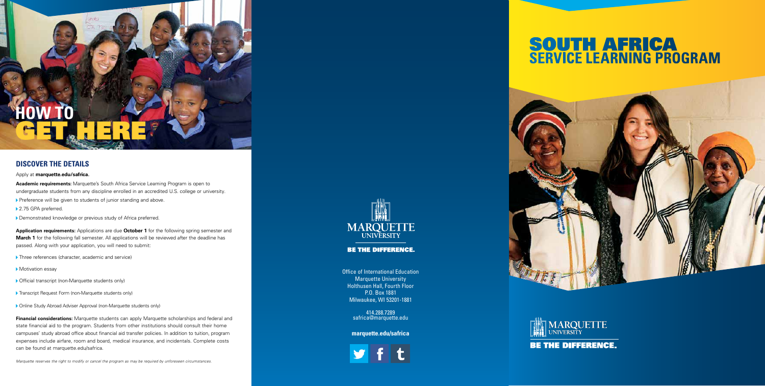Office of International Education Marquette University Holthusen Hall, Fourth Floor P.O. Box 1881 Milwaukee, WI 53201-1881

> 414.288.7289 safrica@marquette.edu

### **marquette.edu/safrica**



### **DISCOVER THE DETAILS**

#### Apply at **marquette.edu/safrica.**

**Academic requirements:** Marquette's South Africa Service Learning Program is open to undergraduate students from any discipline enrolled in an accredited U.S. college or university.

▶ Preference will be given to students of junior standing and above.

GET HERE

- ▶ 2.75 GPA preferred.
- Demonstrated knowledge or previous study of Africa preferred.

**Application requirements:** Applications are due **October 1** for the following spring semester and **March 1** for the following fall semester. All applications will be reviewed after the deadline has passed. Along with your application, you will need to submit:

- $\blacktriangleright$  Three references (character, academic and service)
- Motivation essay
- $\triangleright$  Official transcript (non-Marquette students only)
- **Find Transcript Request Form (non-Marquette students only)**
- **Dime Study Abroad Adviser Approval (non-Marquette students only)**

# SOUTH AFRICA **SERVICE LEARNING PROGRAM**





**BE THE DIFFERENCE.** 

**Financial considerations:** Marquette students can apply Marquette scholarships and federal and state financial aid to the program. Students from other institutions should consult their home campuses' study abroad office about financial aid transfer policies. In addition to tuition, program expenses include airfare, room and board, medical insurance, and incidentals. Complete costs can be found at marquette.edu/safrica.

*Marquette reserves the right to modify or cancel the program as may be required by unforeseen circumstances.*



**BE THE DIFFERENCE.** 

**HOW TO**